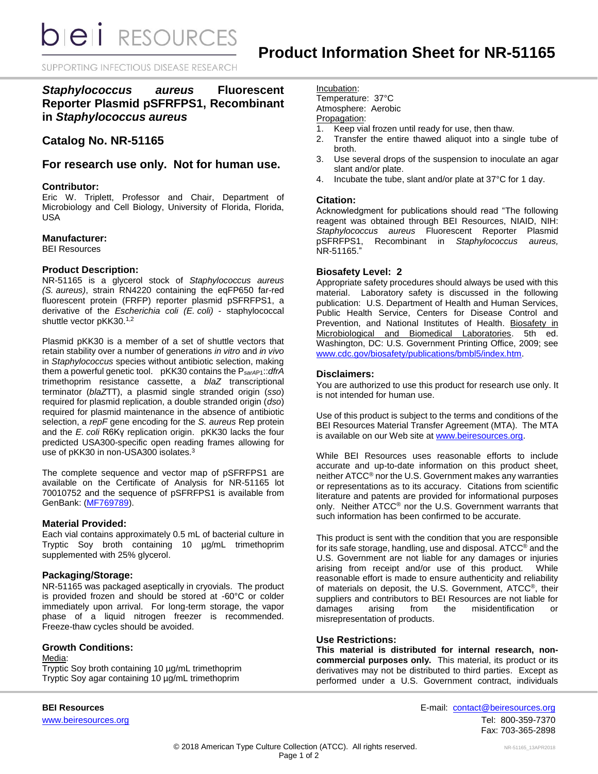**bieli** RESOURCES

SUPPORTING INFECTIOUS DISEASE RESEARCH

*Staphylococcus aureus* **Fluorescent Reporter Plasmid pSFRFPS1, Recombinant in** *Staphylococcus aureus*

# **Catalog No. NR-51165**

# **For research use only. Not for human use.**

### **Contributor:**

Eric W. Triplett, Professor and Chair, Department of Microbiology and Cell Biology, University of Florida, Florida, USA

## **Manufacturer:**

BEI Resources

#### **Product Description:**

NR-51165 is a glycerol stock of *Staphylococcus aureus (S. aureus)*, strain RN4220 containing the eqFP650 far-red fluorescent protein (FRFP) reporter plasmid pSFRFPS1, a derivative of the *Escherichia coli (E. coli)* - staphylococcal shuttle vector pKK30.<sup>1,2</sup>

Plasmid pKK30 is a member of a set of shuttle vectors that retain stability over a number of generations *in vitro* and *in vivo* in *Staphylococcus* species without antibiotic selection, making them a powerful genetic tool. pKK30 contains the P*sarA*P1::*dfrA* trimethoprim resistance cassette, a *blaZ* transcriptional terminator (*blaZ*TT), a plasmid single stranded origin (*sso*) required for plasmid replication, a double stranded origin (*dso*) required for plasmid maintenance in the absence of antibiotic selection, a *repF* gene encoding for the *S. aureus* Rep protein and the *E. coli* R6Kγ replication origin. pKK30 lacks the four predicted USA300-specific open reading frames allowing for use of pKK30 in non-USA300 isolates.<sup>3</sup>

The complete sequence and vector map of pSFRFPS1 are available on the Certificate of Analysis for NR-51165 lot 70010752 and the sequence of pSFRFPS1 is available from GenBank: [\(MF769789\)](https://www.ncbi.nlm.nih.gov/nuccore/MF769789).

#### **Material Provided:**

Each vial contains approximately 0.5 mL of bacterial culture in Tryptic Soy broth containing 10 µg/mL trimethoprim supplemented with 25% glycerol.

#### **Packaging/Storage:**

NR-51165 was packaged aseptically in cryovials. The product is provided frozen and should be stored at -60°C or colder immediately upon arrival. For long-term storage, the vapor phase of a liquid nitrogen freezer is recommended. Freeze-thaw cycles should be avoided.

#### **Growth Conditions:**

Media: Tryptic Soy broth containing 10 µg/mL trimethoprim Tryptic Soy agar containing 10 µg/mL trimethoprim

Incubation:

Temperature: 37°C Atmosphere: Aerobic

# Propagation:

- 1. Keep vial frozen until ready for use, then thaw.
- 2. Transfer the entire thawed aliquot into a single tube of broth.
- 3. Use several drops of the suspension to inoculate an agar slant and/or plate.
- 4. Incubate the tube, slant and/or plate at 37°C for 1 day.

#### **Citation:**

Acknowledgment for publications should read "The following reagent was obtained through BEI Resources, NIAID, NIH: *Staphylococcus aureus* Fluorescent Reporter Plasmid pSFRFPS1, Recombinant in *Staphylococcus aureus,* NR-51165."

#### **Biosafety Level: 2**

Appropriate safety procedures should always be used with this material. Laboratory safety is discussed in the following publication: U.S. Department of Health and Human Services, Public Health Service, Centers for Disease Control and Prevention, and National Institutes of Health. Biosafety in Microbiological and Biomedical Laboratories. 5th ed. Washington, DC: U.S. Government Printing Office, 2009; see [www.cdc.gov/biosafety/publications/bmbl5/index.htm.](http://www.cdc.gov/biosafety/publications/bmbl5/index.htm)

## **Disclaimers:**

You are authorized to use this product for research use only. It is not intended for human use.

Use of this product is subject to the terms and conditions of the BEI Resources Material Transfer Agreement (MTA). The MTA is available on our Web site a[t www.beiresources.org.](http://www.beiresources.org/)

While BEI Resources uses reasonable efforts to include accurate and up-to-date information on this product sheet, neither ATCC® nor the U.S. Government makes any warranties or representations as to its accuracy. Citations from scientific literature and patents are provided for informational purposes only. Neither ATCC® nor the U.S. Government warrants that such information has been confirmed to be accurate.

This product is sent with the condition that you are responsible for its safe storage, handling, use and disposal. ATCC<sup>®</sup> and the U.S. Government are not liable for any damages or injuries arising from receipt and/or use of this product. While reasonable effort is made to ensure authenticity and reliability of materials on deposit, the U.S. Government, ATCC®, their suppliers and contributors to BEI Resources are not liable for damages arising from the misidentification or misrepresentation of products.

#### **Use Restrictions:**

**This material is distributed for internal research, noncommercial purposes only.** This material, its product or its derivatives may not be distributed to third parties. Except as performed under a U.S. Government contract, individuals

**BEI Resources** E-mail: [contact@beiresources.org](mailto:contact@beiresources.org) [www.beiresources.org](http://www.beiresources.org/)Tel: 800-359-7370 Fax: 703-365-2898